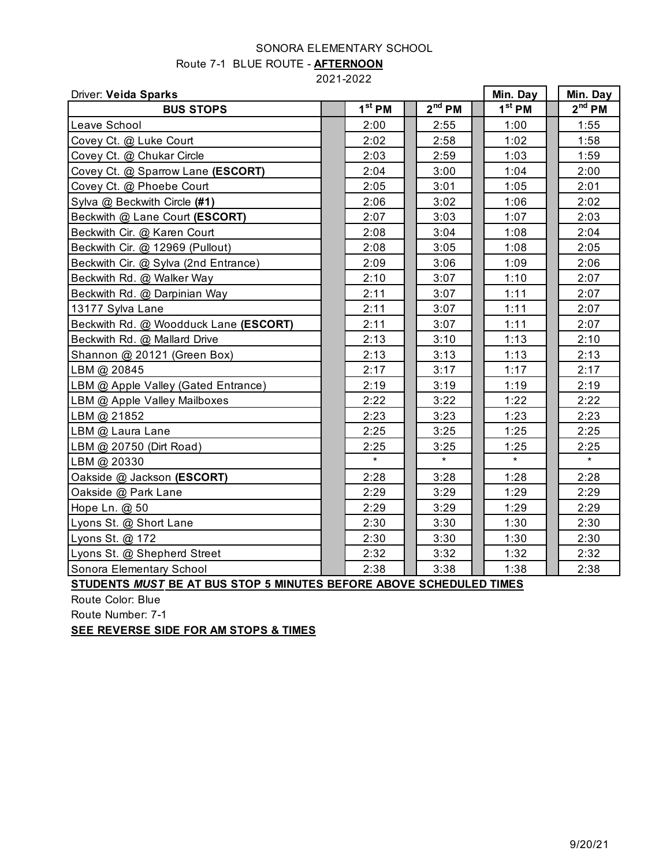## SONORA ELEMENTARY SCHOOL

|  | Route 7-1 BLUE ROUTE - AFTERNOON |
|--|----------------------------------|
|--|----------------------------------|

2021-2022

|                                       |          | Driver: Veida Sparks |  |          |  |          |
|---------------------------------------|----------|----------------------|--|----------|--|----------|
| <b>BUS STOPS</b>                      | $1st$ PM | $2nd$ PM             |  | $1st$ PM |  | $2nd$ PM |
| Leave School                          | 2:00     | 2:55                 |  | 1:00     |  | 1:55     |
| Covey Ct. @ Luke Court                | 2:02     | 2:58                 |  | 1:02     |  | 1:58     |
| Covey Ct. @ Chukar Circle             | 2:03     | 2:59                 |  | 1:03     |  | 1:59     |
| Covey Ct. @ Sparrow Lane (ESCORT)     | 2:04     | 3:00                 |  | 1:04     |  | 2:00     |
| Covey Ct. @ Phoebe Court              | 2:05     | 3:01                 |  | 1:05     |  | 2:01     |
| Sylva @ Beckwith Circle (#1)          | 2:06     | 3:02                 |  | 1:06     |  | 2:02     |
| Beckwith @ Lane Court (ESCORT)        | 2:07     | 3:03                 |  | 1:07     |  | 2:03     |
| Beckwith Cir. @ Karen Court           | 2:08     | 3:04                 |  | 1:08     |  | 2:04     |
| Beckwith Cir. @ 12969 (Pullout)       | 2:08     | 3:05                 |  | 1:08     |  | 2:05     |
| Beckwith Cir. @ Sylva (2nd Entrance)  | 2:09     | 3:06                 |  | 1:09     |  | 2:06     |
| Beckwith Rd. @ Walker Way             | 2:10     | 3:07                 |  | 1:10     |  | 2:07     |
| Beckwith Rd. @ Darpinian Way          | 2:11     | 3:07                 |  | 1:11     |  | 2:07     |
| 13177 Sylva Lane                      | 2:11     | 3:07                 |  | 1:11     |  | 2:07     |
| Beckwith Rd. @ Woodduck Lane (ESCORT) | 2:11     | 3:07                 |  | 1:11     |  | 2:07     |
| Beckwith Rd. @ Mallard Drive          | 2:13     | 3:10                 |  | 1:13     |  | 2:10     |
| Shannon @ 20121 (Green Box)           | 2:13     | 3:13                 |  | 1:13     |  | 2:13     |
| LBM @ 20845                           | 2:17     | 3:17                 |  | 1:17     |  | 2:17     |
| LBM @ Apple Valley (Gated Entrance)   | 2:19     | 3:19                 |  | 1:19     |  | 2:19     |
| LBM @ Apple Valley Mailboxes          | 2:22     | 3:22                 |  | 1:22     |  | 2:22     |
| LBM @ 21852                           | 2:23     | 3:23                 |  | 1:23     |  | 2:23     |
| LBM @ Laura Lane                      | 2:25     | 3:25                 |  | 1:25     |  | 2:25     |
| LBM @ 20750 (Dirt Road)               | 2:25     | 3:25                 |  | 1:25     |  | 2:25     |
| LBM @ 20330                           | $\star$  | $\star$              |  | $\star$  |  | $\star$  |
| Oakside @ Jackson (ESCORT)            | 2:28     | 3:28                 |  | 1:28     |  | 2:28     |
| Oakside @ Park Lane                   | 2:29     | 3:29                 |  | 1:29     |  | 2:29     |
| Hope Ln. @ 50                         | 2:29     | 3:29                 |  | 1:29     |  | 2:29     |
| Lyons St. @ Short Lane                | 2:30     | 3:30                 |  | 1:30     |  | 2:30     |
| Lyons St. @ 172                       | 2:30     | 3:30                 |  | 1:30     |  | 2:30     |
| Lyons St. @ Shepherd Street           | 2:32     | 3:32                 |  | 1:32     |  | 2:32     |
| Sonora Elementary School              | 2:38     | 3:38                 |  | 1:38     |  | 2:38     |

**STUDENTS** *MUST* **BE AT BUS STOP 5 MINUTES BEFORE ABOVE SCHEDULED TIMES**

Route Color: Blue

Route Number: 7-1

**SEE REVERSE SIDE FOR AM STOPS & TIMES**